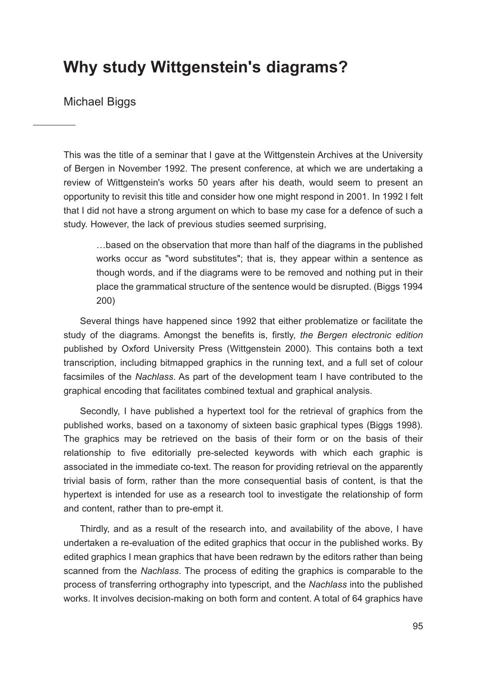## **Why study Wittgenstein's diagrams?**

Michael Biggs

This was the title of a seminar that I gave at the Wittgenstein Archives at the University of Bergen in November 1992. The present conference, at which we are undertaking a review of Wittgenstein's works 50 years after his death, would seem to present an opportunity to revisit this title and consider how one might respond in 2001. In 1992 I felt that I did not have a strong argument on which to base my case for a defence of such a study. However, the lack of previous studies seemed surprising,

…based on the observation that more than half of the diagrams in the published works occur as "word substitutes"; that is, they appear within a sentence as though words, and if the diagrams were to be removed and nothing put in their place the grammatical structure of the sentence would be disrupted. (Biggs 1994 200)

Several things have happened since 1992 that either problematize or facilitate the study of the diagrams. Amongst the benefits is, firstly, *the Bergen electronic edition* published by Oxford University Press (Wittgenstein 2000). This contains both a text transcription, including bitmapped graphics in the running text, and a full set of colour facsimiles of the *Nachlass*. As part of the development team I have contributed to the graphical encoding that facilitates combined textual and graphical analysis.

Secondly, I have published a hypertext tool for the retrieval of graphics from the published works, based on a taxonomy of sixteen basic graphical types (Biggs 1998). The graphics may be retrieved on the basis of their form or on the basis of their relationship to five editorially pre-selected keywords with which each graphic is associated in the immediate co-text. The reason for providing retrieval on the apparently trivial basis of form, rather than the more consequential basis of content, is that the hypertext is intended for use as a research tool to investigate the relationship of form and content, rather than to pre-empt it.

Thirdly, and as a result of the research into, and availability of the above, I have undertaken a re-evaluation of the edited graphics that occur in the published works. By edited graphics I mean graphics that have been redrawn by the editors rather than being scanned from the *Nachlass*. The process of editing the graphics is comparable to the process of transferring orthography into typescript, and the *Nachlass* into the published works. It involves decision-making on both form and content. A total of 64 graphics have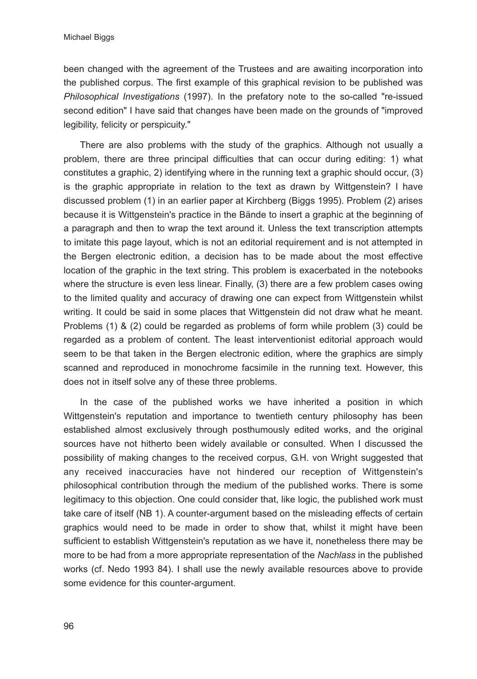been changed with the agreement of the Trustees and are awaiting incorporation into the published corpus. The first example of this graphical revision to be published was *Philosophical Investigations* (1997). In the prefatory note to the so-called "re-issued second edition" I have said that changes have been made on the grounds of "improved legibility, felicity or perspicuity."

There are also problems with the study of the graphics. Although not usually a problem, there are three principal difficulties that can occur during editing: 1) what constitutes a graphic, 2) identifying where in the running text a graphic should occur, (3) is the graphic appropriate in relation to the text as drawn by Wittgenstein? I have discussed problem (1) in an earlier paper at Kirchberg (Biggs 1995). Problem (2) arises because it is Wittgenstein's practice in the Bände to insert a graphic at the beginning of a paragraph and then to wrap the text around it. Unless the text transcription attempts to imitate this page layout, which is not an editorial requirement and is not attempted in the Bergen electronic edition, a decision has to be made about the most effective location of the graphic in the text string. This problem is exacerbated in the notebooks where the structure is even less linear. Finally, (3) there are a few problem cases owing to the limited quality and accuracy of drawing one can expect from Wittgenstein whilst writing. It could be said in some places that Wittgenstein did not draw what he meant. Problems (1) & (2) could be regarded as problems of form while problem (3) could be regarded as a problem of content. The least interventionist editorial approach would seem to be that taken in the Bergen electronic edition, where the graphics are simply scanned and reproduced in monochrome facsimile in the running text. However, this does not in itself solve any of these three problems.

In the case of the published works we have inherited a position in which Wittgenstein's reputation and importance to twentieth century philosophy has been established almost exclusively through posthumously edited works, and the original sources have not hitherto been widely available or consulted. When I discussed the possibility of making changes to the received corpus, G.H. von Wright suggested that any received inaccuracies have not hindered our reception of Wittgenstein's philosophical contribution through the medium of the published works. There is some legitimacy to this objection. One could consider that, like logic, the published work must take care of itself (NB 1). A counter-argument based on the misleading effects of certain graphics would need to be made in order to show that, whilst it might have been sufficient to establish Wittgenstein's reputation as we have it, nonetheless there may be more to be had from a more appropriate representation of the *Nachlass* in the published works (cf. Nedo 1993 84). I shall use the newly available resources above to provide some evidence for this counter-argument.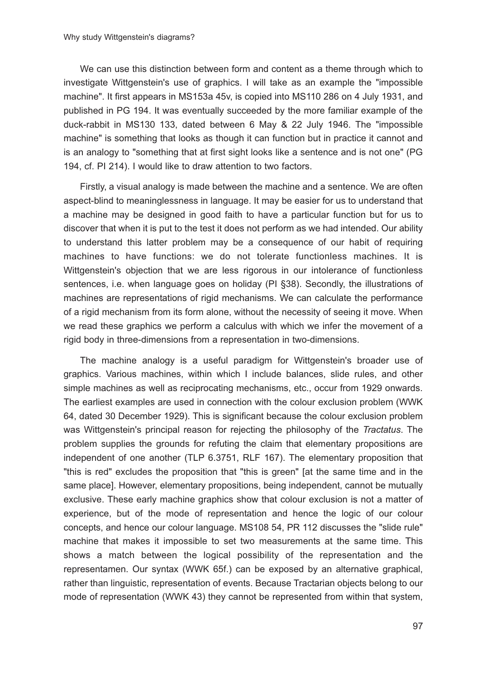We can use this distinction between form and content as a theme through which to investigate Wittgenstein's use of graphics. I will take as an example the "impossible machine". It first appears in MS153a 45v, is copied into MS110 286 on 4 July 1931, and published in PG 194. It was eventually succeeded by the more familiar example of the duck-rabbit in MS130 133, dated between 6 May & 22 July 1946. The "impossible machine" is something that looks as though it can function but in practice it cannot and is an analogy to "something that at first sight looks like a sentence and is not one" (PG 194, cf. PI 214). I would like to draw attention to two factors.

Firstly, a visual analogy is made between the machine and a sentence. We are often aspect-blind to meaninglessness in language. It may be easier for us to understand that a machine may be designed in good faith to have a particular function but for us to discover that when it is put to the test it does not perform as we had intended. Our ability to understand this latter problem may be a consequence of our habit of requiring machines to have functions: we do not tolerate functionless machines. It is Wittgenstein's objection that we are less rigorous in our intolerance of functionless sentences, i.e. when language goes on holiday (PI §38). Secondly, the illustrations of machines are representations of rigid mechanisms. We can calculate the performance of a rigid mechanism from its form alone, without the necessity of seeing it move. When we read these graphics we perform a calculus with which we infer the movement of a rigid body in three-dimensions from a representation in two-dimensions.

The machine analogy is a useful paradigm for Wittgenstein's broader use of graphics. Various machines, within which I include balances, slide rules, and other simple machines as well as reciprocating mechanisms, etc., occur from 1929 onwards. The earliest examples are used in connection with the colour exclusion problem (WWK 64, dated 30 December 1929). This is significant because the colour exclusion problem was Wittgenstein's principal reason for rejecting the philosophy of the *Tractatus*. The problem supplies the grounds for refuting the claim that elementary propositions are independent of one another (TLP 6.3751, RLF 167). The elementary proposition that "this is red" excludes the proposition that "this is green" [at the same time and in the same place]. However, elementary propositions, being independent, cannot be mutually exclusive. These early machine graphics show that colour exclusion is not a matter of experience, but of the mode of representation and hence the logic of our colour concepts, and hence our colour language. MS108 54, PR 112 discusses the "slide rule" machine that makes it impossible to set two measurements at the same time. This shows a match between the logical possibility of the representation and the representamen. Our syntax (WWK 65f.) can be exposed by an alternative graphical, rather than linguistic, representation of events. Because Tractarian objects belong to our mode of representation (WWK 43) they cannot be represented from within that system,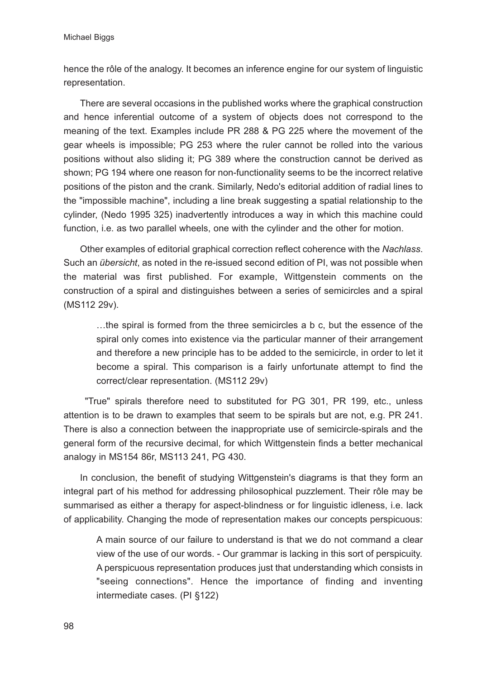hence the rôle of the analogy. It becomes an inference engine for our system of linguistic representation.

There are several occasions in the published works where the graphical construction and hence inferential outcome of a system of objects does not correspond to the meaning of the text. Examples include PR 288 & PG 225 where the movement of the gear wheels is impossible; PG 253 where the ruler cannot be rolled into the various positions without also sliding it; PG 389 where the construction cannot be derived as shown; PG 194 where one reason for non-functionality seems to be the incorrect relative positions of the piston and the crank. Similarly, Nedo's editorial addition of radial lines to the "impossible machine", including a line break suggesting a spatial relationship to the cylinder, (Nedo 1995 325) inadvertently introduces a way in which this machine could function, i.e. as two parallel wheels, one with the cylinder and the other for motion.

Other examples of editorial graphical correction reflect coherence with the *Nachlass*. Such an *übersicht*, as noted in the re-issued second edition of PI, was not possible when the material was first published. For example, Wittgenstein comments on the construction of a spiral and distinguishes between a series of semicircles and a spiral (MS112 29v).

…the spiral is formed from the three semicircles a b c, but the essence of the spiral only comes into existence via the particular manner of their arrangement and therefore a new principle has to be added to the semicircle, in order to let it become a spiral. This comparison is a fairly unfortunate attempt to find the correct/clear representation. (MS112 29v)

"True" spirals therefore need to substituted for PG 301, PR 199, etc., unless attention is to be drawn to examples that seem to be spirals but are not, e.g. PR 241. There is also a connection between the inappropriate use of semicircle-spirals and the general form of the recursive decimal, for which Wittgenstein finds a better mechanical analogy in MS154 86r, MS113 241, PG 430.

In conclusion, the benefit of studying Wittgenstein's diagrams is that they form an integral part of his method for addressing philosophical puzzlement. Their rôle may be summarised as either a therapy for aspect-blindness or for linguistic idleness, i.e. lack of applicability. Changing the mode of representation makes our concepts perspicuous:

A main source of our failure to understand is that we do not command a clear view of the use of our words. - Our grammar is lacking in this sort of perspicuity. A perspicuous representation produces just that understanding which consists in "seeing connections". Hence the importance of finding and inventing intermediate cases. (PI §122)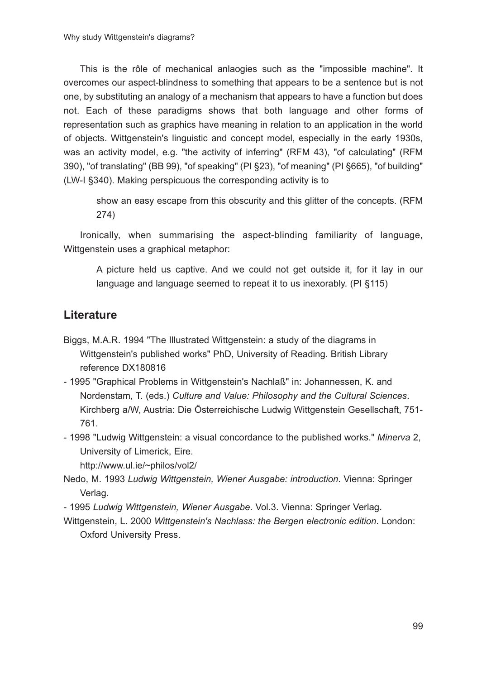This is the rôle of mechanical anlaogies such as the "impossible machine". It overcomes our aspect-blindness to something that appears to be a sentence but is not one, by substituting an analogy of a mechanism that appears to have a function but does not. Each of these paradigms shows that both language and other forms of representation such as graphics have meaning in relation to an application in the world of objects. Wittgenstein's linguistic and concept model, especially in the early 1930s, was an activity model, e.g. "the activity of inferring" (RFM 43), "of calculating" (RFM 390), "of translating" (BB 99), "of speaking" (PI §23), "of meaning" (PI §665), "of building" (LW-I §340). Making perspicuous the corresponding activity is to

show an easy escape from this obscurity and this glitter of the concepts. (RFM 274)

Ironically, when summarising the aspect-blinding familiarity of language, Wittgenstein uses a graphical metaphor:

A picture held us captive. And we could not get outside it, for it lay in our language and language seemed to repeat it to us inexorably. (PI §115)

## **Literature**

- Biggs, M.A.R. 1994 "The Illustrated Wittgenstein: a study of the diagrams in Wittgenstein's published works" PhD, University of Reading. British Library reference DX180816
- 1995 "Graphical Problems in Wittgenstein's Nachlaß" in: Johannessen, K. and Nordenstam, T. (eds.) *Culture and Value: Philosophy and the Cultural Sciences*. Kirchberg a/W, Austria: Die Österreichische Ludwig Wittgenstein Gesellschaft, 751- 761.
- 1998 "Ludwig Wittgenstein: a visual concordance to the published works." *Minerva* 2, University of Limerick, Eire.

http://www.ul.ie/~philos/vol2/

- Nedo, M. 1993 *Ludwig Wittgenstein, Wiener Ausgabe: introduction*. Vienna: Springer Verlag.
- 1995 *Ludwig Wittgenstein, Wiener Ausgabe*. Vol.3. Vienna: Springer Verlag.
- Wittgenstein, L. 2000 *Wittgenstein's Nachlass: the Bergen electronic edition*. London: Oxford University Press.